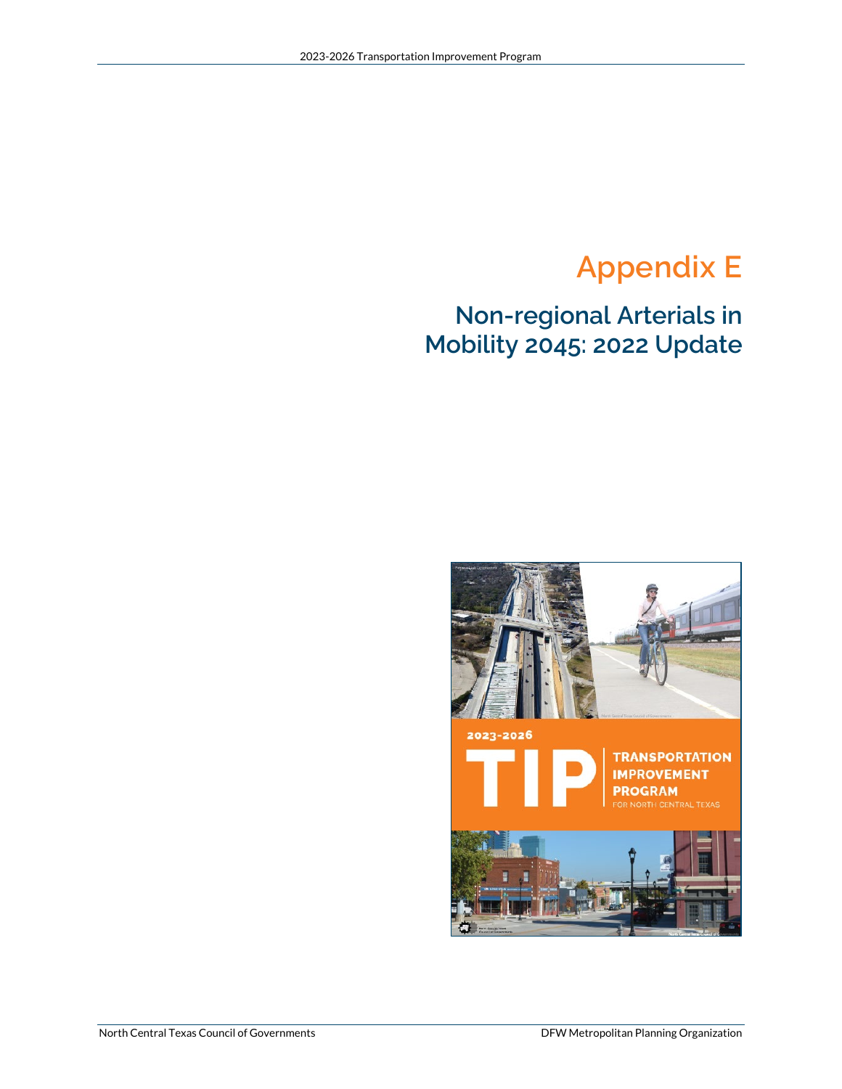## **Appendix E**

## **Non-regional Arterials in Mobility 2045: 2022 Update**